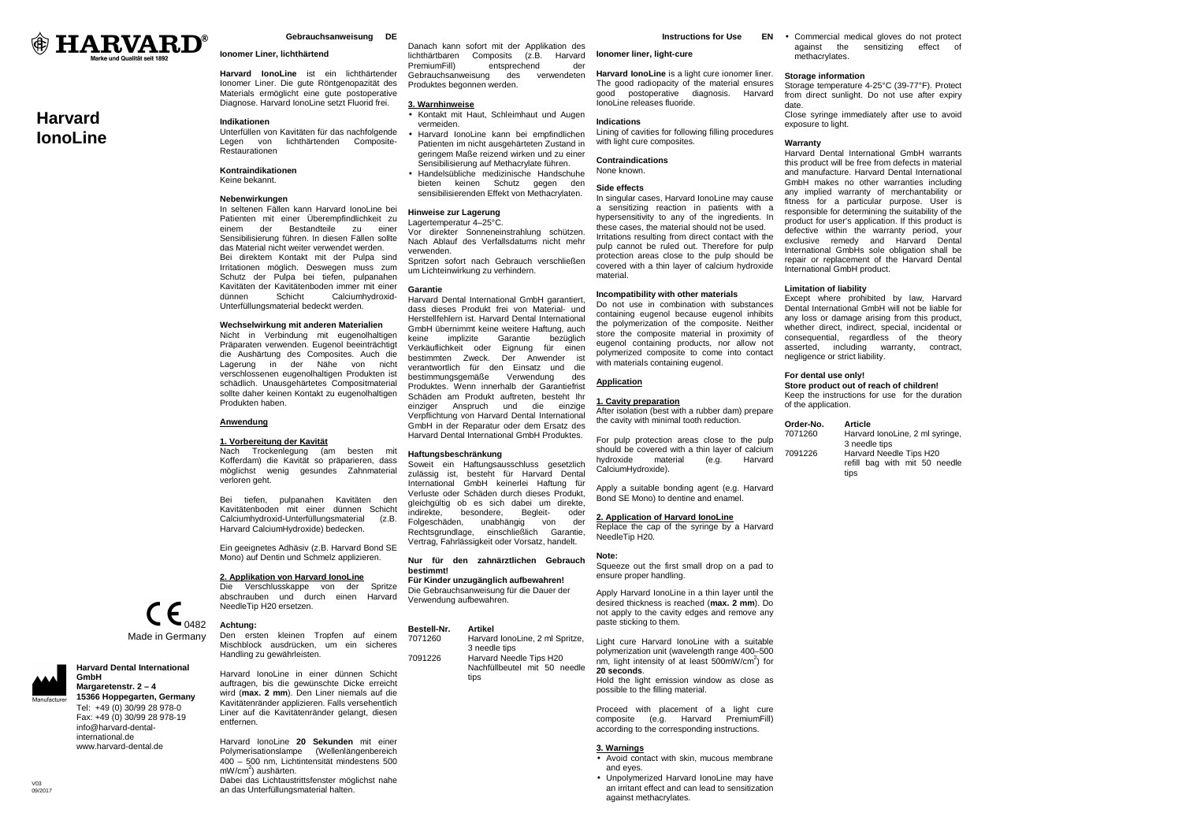

# **Harvard IonoLine**

### **Gebrauchsanweisung DE**

### **Ionomer Liner, lichthärtend**

**Harvard IonoLine** ist ein lichthärtender Ionomer Liner. Die gute Röntgenopazität des Materials ermöglicht eine gute postoperative Diagnose. Harvard IonoLine setzt Fluorid frei. Gebrauchsanweisung des verwendeten Produktes begonnen werden. **3. Warnhinweise**

#### **Indikationen**

 Unterfüllen von Kavitäten für das nachfolgende Legen von lichthärtenden Composite-Restaurationen

### **Kontraindikationen**

Keine bekannt.

### **Nebenwirkungen**

 In seltenen Fällen kann Harvard IonoLine bei Patienten mit einer Überempfindlichkeit zu einem der Bestandteile zu einer Sensibilisierung führen. In diesen Fällen sollte das Material nicht weiter verwendet werden. Bei direktem Kontakt mit der Pulpa sind Irritationen möglich. Deswegen muss zum Schutz der Pulpa bei tiefen, pulpanahen Kavitäten der Kavitätenboden immer mit einer dünnen Schicht Calciumhydroxid-Unterfüllungsmaterial bedeckt werden.

#### **Wechselwirkung mit anderen Materialien**

 Nicht in Verbindung mit eugenolhaltigen Präparaten verwenden. Eugenol beeinträchtigt die Aushärtung des Composites. Auch die Lagerung in der Nähe von nicht verschlossenen eugenolhaltigen Produkten ist schädlich. Unausgehärtetes Compositmaterial sollte daher keinen Kontakt zu eugenolhaltigen Produkten haben.

### **Anwendung**

### **1. Vorbereitung der Kavität**

 Nach Trockenlegung (am besten mit Kofferdam) die Kavität so präparieren, dass möglichst wenig gesundes Zahnmaterial verloren geht.

Bei tiefen, pulpanahen Kavitäten den Kavitätenboden mit einer dünnen Schicht  $(7 R)$ Calciumhydroxid-Unterfüllungsmaterial Harvard CalciumHydroxide) bedecken.

Ein geeignetes Adhäsiv (z.B. Harvard Bond SE Mono) auf Dentin und Schmelz applizieren.

**2. Applikation von Harvard IonoLine**

 Die Verschlusskappe von der Spritze abschrauben und durch einen Harvard NeedleTip H20 ersetzen.



**Harvard Dental International** 

 **Margaretenstr. 2 – 4 15366 Hoppegarten, Germany**Tel: +49 (0) 30/99 28 978-0 Fax: +49 (0) 30/99 28 978-19 info@harvard-dentalinternational.de www.harvard-dental.de

**GmbH** 

 Den ersten kleinen Tropfen auf einem Mischblock ausdrücken, um ein sicheres Handling zu gewährleisten.

Harvard IonoLine in einer dünnen Schicht auftragen, bis die gewünschte Dicke erreicht wird (**max. 2 mm**). Den Liner niemals auf die Kavitätenränder applizieren. Falls versehentlich Liner auf die Kavitätenränder gelangt, diesen entfernen.

Harvard IonoLine **20 Sekunden** mit einer Polymerisationslampe (Wellenlängenbereich 400 – 500 nm, Lichtintensität mindestens 500 mW/cm<sup>2</sup>) aushärten. Dabei das Lichtaustrittsfenster möglichst nahe an das Unterfüllungsmaterial halten.

**Instructions for Use** 

**Ionomer liner, light-cure** 

Harvard lonoLine is a light cure ionomer liner. The good radiopacity of the material ensures good postoperative diagnosis. Harvard IonoLine releases fluoride.

### **Indications**

 • Harvard IonoLine kann bei empfindlichen Patienten im nicht ausgehärteten Zustand in geringem Maße reizend wirken und zu einer Sensibilisierung auf Methacrylate führen. Lining of cavities for following filling procedureswith light cure composites. **Contraindications** None known.

 • Handelsübliche medizinische Handschuhe bieten keinen Schutz gegen den sensibilisierenden Effekt von Methacrylaten.

Danach kann sofort mit der Applikation des lichthärtbaren Composits (z.B. Harvard PremiumFill) entsprechend der

• Kontakt mit Haut, Schleimhaut und Augen

# **Hinweise zur Lagerung**

vermeiden.

 Lagertemperatur 4–25°C. Vor direkter Sonneneinstrahlung schützen. Nach Ablauf des Verfallsdatums nicht mehr verwenden. Spritzen sofort nach Gebrauch verschließen

um Lichteinwirkung zu verhindern.

### **Garantie**

 Harvard Dental International GmbH garantiert, dass dieses Produkt frei von Material- und Herstellfehlern ist. Harvard Dental International GmbH übernimmt keine weitere Haftung, auch keine implizite Garantie bezüglich Verkäuflichkeit oder Eignung für einen bestimmten Zweck. Der Anwender ist verantwortlich für den Einsatz und die bestimmungsgemäße Verwendung des Produktes. Wenn innerhalb der Garantiefrist Schäden am Produkt auftreten, besteht Ihr einziger Anspruch und die einzige Verpflichtung von Harvard Dental International GmbH in der Reparatur oder dem Ersatz des Harvard Dental International GmbH Produktes.

#### **Haftungsbeschränkung**

 Soweit ein Haftungsausschluss gesetzlich zulässig ist, besteht für Harvard Dental International GmbH keinerlei Haftung für Verluste oder Schäden durch dieses Produkt, gleichgültig ob es sich dabei um direkte, indirekte, besondere, Begleit- oder Folgeschäden, unabhängig von der Rechtsgrundlage, einschließlich Garantie, Vertrag, Fahrlässigkeit oder Vorsatz, handelt.

**Nur für den zahnärztlichen Gebrauch bestimmt!** 

 **Für Kinder unzugänglich aufbewahren!**  Die Gebrauchsanweisung für die Dauer der Verwendung aufbewahren.

### **Bestell-Nr. Artikel**

 7071260 Harvard IonoLine, 2 ml Spritze, 3 needle tips<br>2091226 Harvard Nee 7091226 Harvard Needle Tips H20 Nachfüllbeutel mit 50 needle tins

**Side effects**  In singular cases, Harvard IonoLine may cause a sensitizing reaction in patients with a

 hypersensitivity to any of the ingredients. In these cases, the material should not be used. Irritations resulting from direct contact with the pulp cannot be ruled out. Therefore for pulp protection areas close to the pulp should be covered with a thin layer of calcium hydroxide material.

### **Incompatibility with other materials**

 Do not use in combination with substances containing eugenol because eugenol inhibits the polymerization of the composite. Neither store the composite material in proximity of eugenol containing products, nor allow not polymerized composite to come into contact with materials containing eugenol.

### **Application**

### **1. Cavity preparation**

 After isolation (best with a rubber dam) prepare the cavity with minimal tooth reduction.

For pulp protection areas close to the pulp should be covered with a thin layer of calcium Harvard hydroxide material  $(e.a.$ CalciumHydroxide).

Apply a suitable bonding agent (e.g. Harvard Bond SE Mono) to dentine and enamel.

### **2. Application of Harvard IonoLine**

 Replace the cap of the syringe by a Harvard NeedleTip H20.

### **Note:**

 Squeeze out the first small drop on a pad to ensure proper handling.

Apply Harvard IonoLine in a thin layer until the desired thickness is reached (**max. 2 mm**). Do not apply to the cavity edges and remove any paste sticking to them.

Light cure Harvard IonoLine with a suitable polymerization unit (wavelength range 400–500 nm, light intensity of at least  $500$ mW/cm<sup>2</sup>) for **20 seconds**. Hold the light emission window as close as possible to the filling material.

Proceed with placement of a light cure composite (e.g. Harvard PremiumFill) according to the corresponding instructions.

### **3. Warnings**

- Avoid contact with skin, mucous membrane and eyes.
- Unpolymerized Harvard IonoLine may have an irritant effect and can lead to sensitization against methacrylates.

• Commercial medical gloves do not protect against the sensitizing effect of methacrylates.

#### **Storage information**

 Storage temperature 4-25°C (39-77°F). Protect from direct sunlight. Do not use after expiry date.

 Close syringe immediately after use to avoid exposure to light.

#### **Warranty**

 Harvard Dental International GmbH warrants this product will be free from defects in material and manufacture. Harvard Dental International GmbH makes no other warranties including any implied warranty of merchantability or fitness for a particular purpose. User is responsible for determining the suitability of the product for user's application. If this product is defective within the warranty period, your exclusive remedy and Harvard Dental International GmbHs sole obligation shall be repair or replacement of the Harvard Dental International GmbH product.

### **Limitation of liability**

 Except where prohibited by law, Harvard Dental International GmbH will not be liable for any loss or damage arising from this product, whether direct, indirect, special, incidental or consequential, regardless of the theory asserted, including warranty, contract, negligence or strict liability.

### **For dental use only!**

 **Store product out of reach of children!**  Keep the instructions for use for the duration of the application.

#### **Order-No. Article**

 7071260 Harvard IonoLine, 2 ml syringe, 3 needle tips<br>7091226 Harvard Nee 7091226 Harvard Needle Tips H20 refill bag with mit 50 needle tips

 $V<sub>02</sub>$ 09/2017